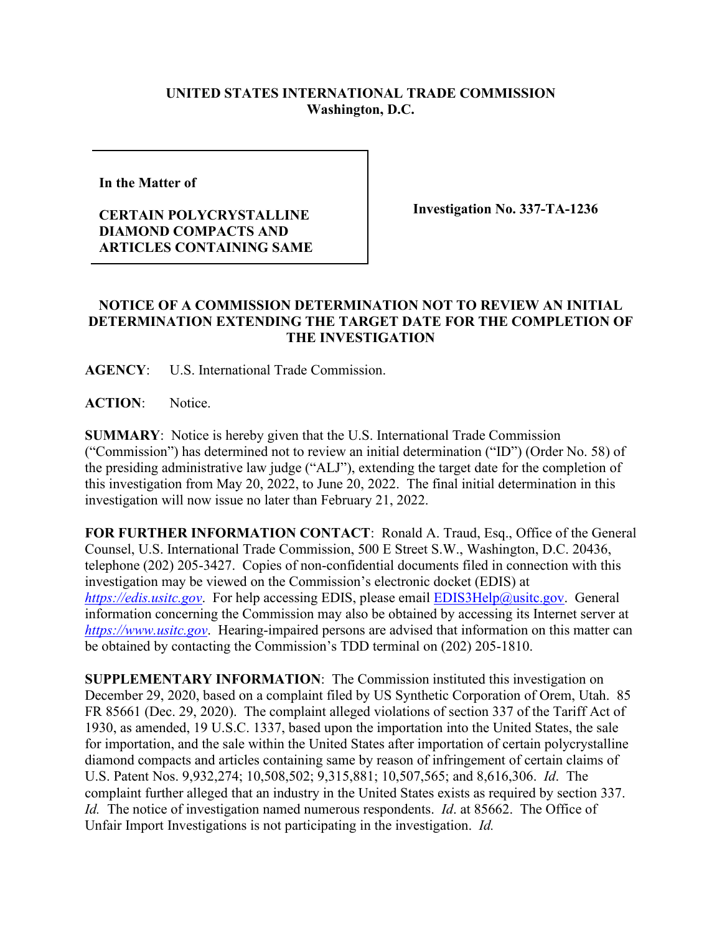## **UNITED STATES INTERNATIONAL TRADE COMMISSION Washington, D.C.**

**In the Matter of** 

## **CERTAIN POLYCRYSTALLINE DIAMOND COMPACTS AND ARTICLES CONTAINING SAME**

**Investigation No. 337-TA-1236**

## **NOTICE OF A COMMISSION DETERMINATION NOT TO REVIEW AN INITIAL DETERMINATION EXTENDING THE TARGET DATE FOR THE COMPLETION OF THE INVESTIGATION**

**AGENCY**: U.S. International Trade Commission.

**ACTION**: Notice.

**SUMMARY**: Notice is hereby given that the U.S. International Trade Commission ("Commission") has determined not to review an initial determination ("ID") (Order No. 58) of the presiding administrative law judge ("ALJ"), extending the target date for the completion of this investigation from May 20, 2022, to June 20, 2022. The final initial determination in this investigation will now issue no later than February 21, 2022.

**FOR FURTHER INFORMATION CONTACT**: Ronald A. Traud, Esq., Office of the General Counsel, U.S. International Trade Commission, 500 E Street S.W., Washington, D.C. 20436, telephone (202) 205-3427. Copies of non-confidential documents filed in connection with this investigation may be viewed on the Commission's electronic docket (EDIS) at *[https://edis.usitc.gov](https://edis.usitc.gov/).* For help accessing EDIS, please email **EDIS3Help@usitc.gov**. General information concerning the Commission may also be obtained by accessing its Internet server at *[https://www.usitc.gov](https://www.usitc.gov/)*. Hearing-impaired persons are advised that information on this matter can be obtained by contacting the Commission's TDD terminal on (202) 205-1810.

**SUPPLEMENTARY INFORMATION**: The Commission instituted this investigation on December 29, 2020, based on a complaint filed by US Synthetic Corporation of Orem, Utah. 85 FR 85661 (Dec. 29, 2020). The complaint alleged violations of section 337 of the Tariff Act of 1930, as amended, 19 U.S.C. 1337, based upon the importation into the United States, the sale for importation, and the sale within the United States after importation of certain polycrystalline diamond compacts and articles containing same by reason of infringement of certain claims of U.S. Patent Nos. 9,932,274; 10,508,502; 9,315,881; 10,507,565; and 8,616,306. *Id*. The complaint further alleged that an industry in the United States exists as required by section 337. *Id.* The notice of investigation named numerous respondents. *Id*. at 85662. The Office of Unfair Import Investigations is not participating in the investigation. *Id.*